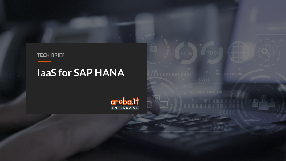**TECH BRIEF** 

# laaS for SAP HANA

**aruba.it**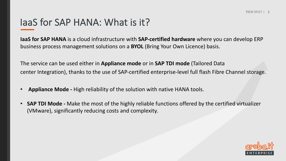## IaaS for SAP HANA: What is it?

**IaaS for SAP HANA** is a cloud infrastructure with **SAP-certified hardware** where you can develop ERP business process management solutions on a **BYOL** (Bring Your Own Licence) basis.

The service can be used either in **Appliance mode** or in **SAP TDI mode** (Tailored Data center Integration), thanks to the use of SAP-certified enterprise-level full flash Fibre Channel storage.

- **Appliance Mode -** High reliability of the solution with native HANA tools.
- **SAP TDI Mode -** Make the most of the highly reliable functions offered by the certified virtualizer (VMware), significantly reducing costs and complexity.

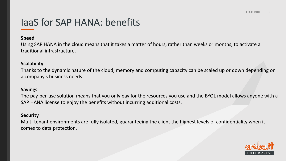## IaaS for SAP HANA: benefits

#### **Speed**

Using SAP HANA in the cloud means that it takes a matter of hours, rather than weeks or months, to activate a traditional infrastructure.

#### **Scalability**

Thanks to the dynamic nature of the cloud, memory and computing capacity can be scaled up or down depending on a company's business needs.

#### **Savings**

The pay-per-use solution means that you only pay for the resources you use and the BYOL model allows anyone with a SAP HANA license to enjoy the benefits without incurring additional costs.

### **Security**

Multi-tenant environments are fully isolated, guaranteeing the client the highest levels of confidentiality when it comes to data protection.

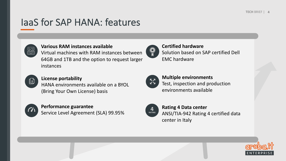# IaaS for SAP HANA: features

| <u>ming</u> |  |
|-------------|--|
| سيدان       |  |
|             |  |

### **Various RAM instances available**

Virtual machines with RAM instances between 64GB and 1TB and the option to request larger instances



## **License portability**

HANA environments available on a BYOL (Bring Your Own License) basis



## **Performance guarantee** Service Level Agreement (SLA) 99.95%



## **Certified hardware** Solution based on SAP certified Dell EMC hardware



## **Multiple environments** Test, inspection and production environments available



## **Rating 4 Data center** ANSI/TIA-942 Rating 4 certified data center in Italy

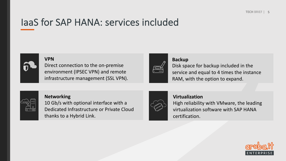## IaaS for SAP HANA: services included



#### **VPN**

Direct connection to the on-premise environment (IPSEC VPN) and remote infrastructure management (SSL VPN).

### **Backup**

Disk space for backup included in the service and equal to 4 times the instance RAM, with the option to expand.



#### **Networking**

10 Gb/s with optional interface with a Dedicated Infrastructure or Private Cloud thanks to a Hybrid Link.



## **Virtualization** High reliability with VMware, the leading virtualization software with SAP HANA certification.